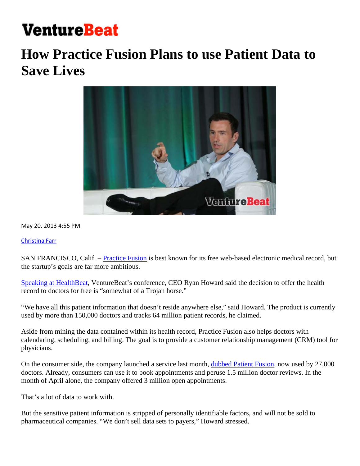## **VentureBeat**

## **How Practice Fusion Plans to use Patient Data to Save Lives**



May 20, 2013 4:55 PM

Christina Farr

SAN FRANCISCO, Calif. – Practice Fusion is best known for its free web-based electronic medical record, but the startup's goals are far more ambitious.

Speaking at HealthBeat, VentureBeat's conference, CEO Ryan Howard said the decision to offer the health record to doctors for free is "somewhat of a Trojan horse."

"We have all this patient information that doesn't reside anywhere else," said Howard. The product is currently used by more than 150,000 doctors and tracks 64 million patient records, he claimed.

Aside from mining the data contained within its health record, Practice Fusion also helps doctors with calendaring, scheduling, and billing. The goal is to provide a customer relationship management (CRM) tool for physicians.

On the consumer side, the company launched a service last month, dubbed Patient Fusion, now used by 27,000 doctors. Already, consumers can use it to book appointments and peruse 1.5 million doctor reviews. In the month of April alone, the company offered 3 million open appointments.

That's a lot of data to work with.

But the sensitive patient information is stripped of personally identifiable factors, and will not be sold to pharmaceutical companies. "We don't sell data sets to payers," Howard stressed.